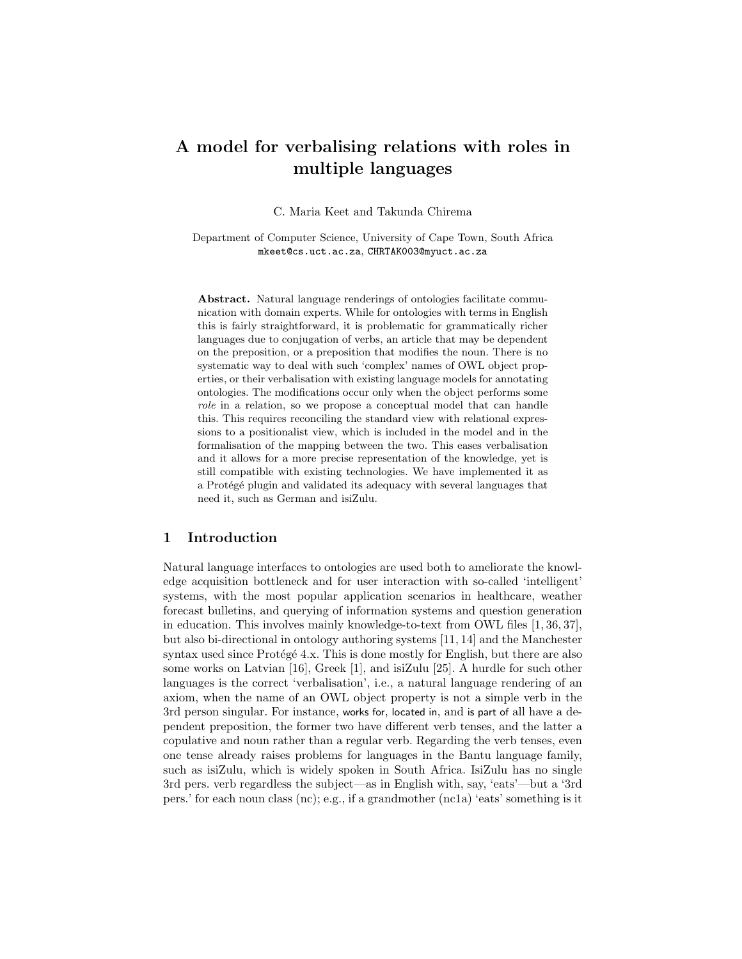# A model for verbalising relations with roles in multiple languages

C. Maria Keet and Takunda Chirema

Department of Computer Science, University of Cape Town, South Africa mkeet@cs.uct.ac.za, CHRTAK003@myuct.ac.za

Abstract. Natural language renderings of ontologies facilitate communication with domain experts. While for ontologies with terms in English this is fairly straightforward, it is problematic for grammatically richer languages due to conjugation of verbs, an article that may be dependent on the preposition, or a preposition that modifies the noun. There is no systematic way to deal with such 'complex' names of OWL object properties, or their verbalisation with existing language models for annotating ontologies. The modifications occur only when the object performs some role in a relation, so we propose a conceptual model that can handle this. This requires reconciling the standard view with relational expressions to a positionalist view, which is included in the model and in the formalisation of the mapping between the two. This eases verbalisation and it allows for a more precise representation of the knowledge, yet is still compatible with existing technologies. We have implemented it as a Protégé plugin and validated its adequacy with several languages that need it, such as German and isiZulu.

## 1 Introduction

Natural language interfaces to ontologies are used both to ameliorate the knowledge acquisition bottleneck and for user interaction with so-called 'intelligent' systems, with the most popular application scenarios in healthcare, weather forecast bulletins, and querying of information systems and question generation in education. This involves mainly knowledge-to-text from OWL files [1, 36, 37], but also bi-directional in ontology authoring systems [11, 14] and the Manchester syntax used since Protégé  $4.x$ . This is done mostly for English, but there are also some works on Latvian [16], Greek [1], and isiZulu [25]. A hurdle for such other languages is the correct 'verbalisation', i.e., a natural language rendering of an axiom, when the name of an OWL object property is not a simple verb in the 3rd person singular. For instance, works for, located in, and is part of all have a dependent preposition, the former two have different verb tenses, and the latter a copulative and noun rather than a regular verb. Regarding the verb tenses, even one tense already raises problems for languages in the Bantu language family, such as isiZulu, which is widely spoken in South Africa. IsiZulu has no single 3rd pers. verb regardless the subject—as in English with, say, 'eats'—but a '3rd pers.' for each noun class (nc); e.g., if a grandmother (nc1a) 'eats' something is it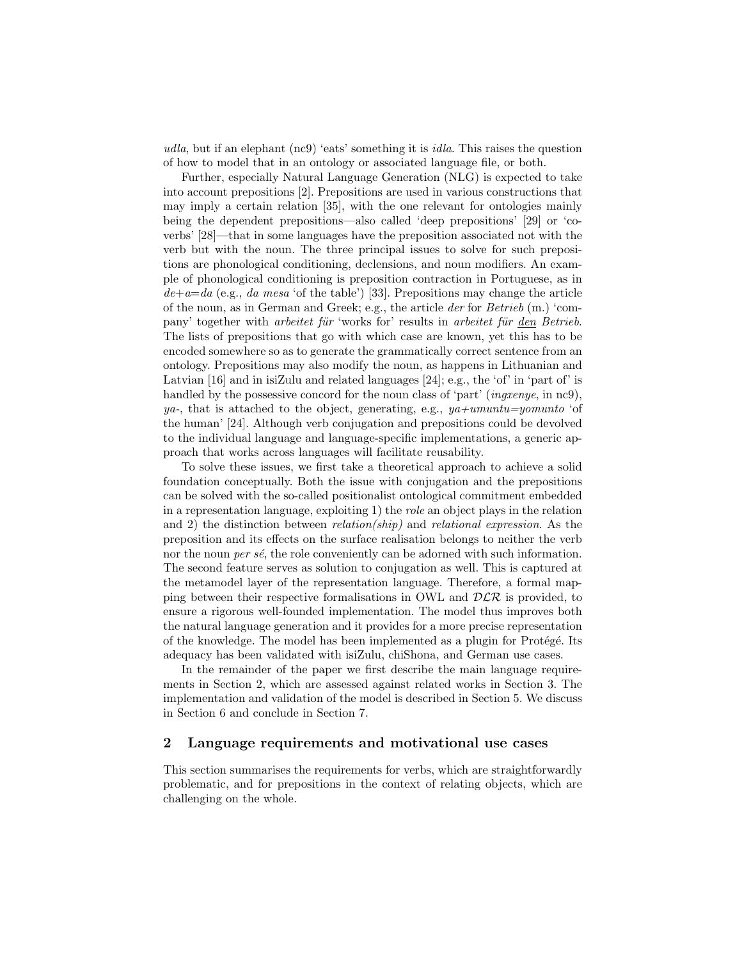udla, but if an elephant  $(nc9)$  'eats' something it is *idla*. This raises the question of how to model that in an ontology or associated language file, or both.

Further, especially Natural Language Generation (NLG) is expected to take into account prepositions [2]. Prepositions are used in various constructions that may imply a certain relation [35], with the one relevant for ontologies mainly being the dependent prepositions—also called 'deep prepositions' [29] or 'coverbs' [28]—that in some languages have the preposition associated not with the verb but with the noun. The three principal issues to solve for such prepositions are phonological conditioning, declensions, and noun modifiers. An example of phonological conditioning is preposition contraction in Portuguese, as in  $de+a=da$  (e.g., da mesa 'of the table') [33]. Prepositions may change the article of the noun, as in German and Greek; e.g., the article der for Betrieb (m.) 'company' together with *arbeitet für* 'works for' results in *arbeitet für den Betrieb*. The lists of prepositions that go with which case are known, yet this has to be encoded somewhere so as to generate the grammatically correct sentence from an ontology. Prepositions may also modify the noun, as happens in Lithuanian and Latvian [16] and in isiZulu and related languages [24]; e.g., the 'of' in 'part of' is handled by the possessive concord for the noun class of 'part' *(ingxenye,* in nc9), ya-, that is attached to the object, generating, e.g.,  $ya+umuntu=yomunto$  'of the human' [24]. Although verb conjugation and prepositions could be devolved to the individual language and language-specific implementations, a generic approach that works across languages will facilitate reusability.

To solve these issues, we first take a theoretical approach to achieve a solid foundation conceptually. Both the issue with conjugation and the prepositions can be solved with the so-called positionalist ontological commitment embedded in a representation language, exploiting 1) the role an object plays in the relation and 2) the distinction between relation(ship) and relational expression. As the preposition and its effects on the surface realisation belongs to neither the verb nor the noun per  $s\acute{e}$ , the role conveniently can be adorned with such information. The second feature serves as solution to conjugation as well. This is captured at the metamodel layer of the representation language. Therefore, a formal mapping between their respective formalisations in OWL and  $D\mathcal{LR}$  is provided, to ensure a rigorous well-founded implementation. The model thus improves both the natural language generation and it provides for a more precise representation of the knowledge. The model has been implemented as a plugin for Protégé. Its adequacy has been validated with isiZulu, chiShona, and German use cases.

In the remainder of the paper we first describe the main language requirements in Section 2, which are assessed against related works in Section 3. The implementation and validation of the model is described in Section 5. We discuss in Section 6 and conclude in Section 7.

## 2 Language requirements and motivational use cases

This section summarises the requirements for verbs, which are straightforwardly problematic, and for prepositions in the context of relating objects, which are challenging on the whole.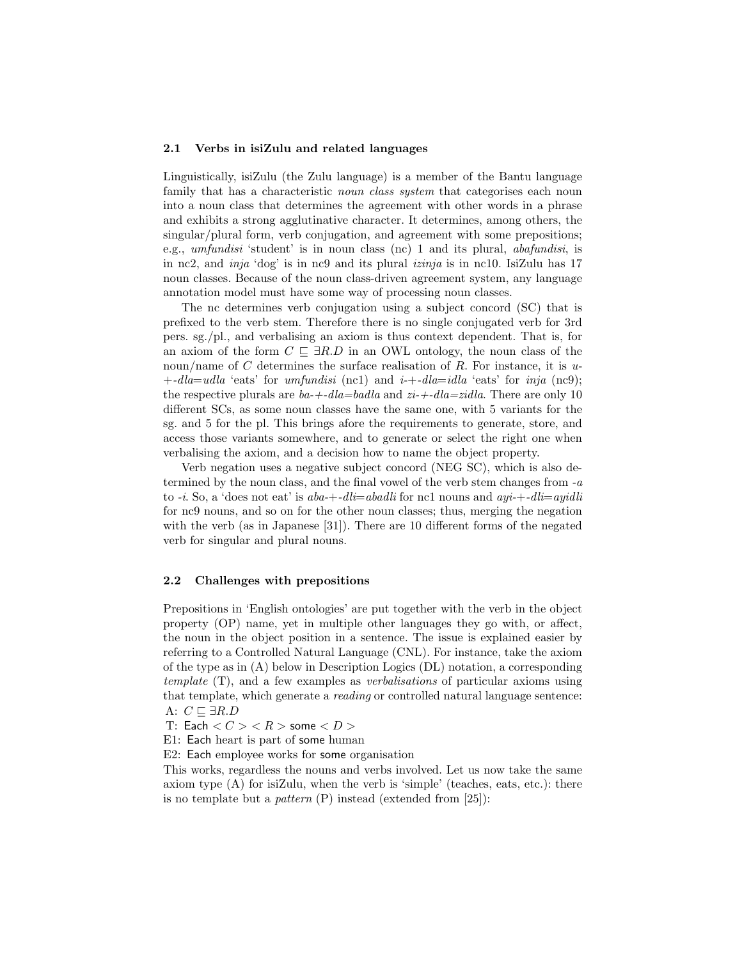#### 2.1 Verbs in isiZulu and related languages

Linguistically, isiZulu (the Zulu language) is a member of the Bantu language family that has a characteristic *noun class system* that categorises each noun into a noun class that determines the agreement with other words in a phrase and exhibits a strong agglutinative character. It determines, among others, the singular/plural form, verb conjugation, and agreement with some prepositions; e.g., umfundisi 'student' is in noun class (nc) 1 and its plural, abafundisi, is in nc2, and *inja* 'dog' is in nc9 and its plural *izinja* is in nc10. IsiZulu has 17 noun classes. Because of the noun class-driven agreement system, any language annotation model must have some way of processing noun classes.

The nc determines verb conjugation using a subject concord (SC) that is prefixed to the verb stem. Therefore there is no single conjugated verb for 3rd pers. sg./pl., and verbalising an axiom is thus context dependent. That is, for an axiom of the form  $C \subseteq \exists R.D$  in an OWL ontology, the noun class of the noun/name of  $C$  determines the surface realisation of  $R$ . For instance, it is  $u$ - $+$ -dla=udla 'eats' for umfundisi (nc1) and i-+-dla=idla 'eats' for inja (nc9); the respective plurals are  $ba + -dba = badba$  and  $zi + -dba = zidba$ . There are only 10 different SCs, as some noun classes have the same one, with 5 variants for the sg. and 5 for the pl. This brings afore the requirements to generate, store, and access those variants somewhere, and to generate or select the right one when verbalising the axiom, and a decision how to name the object property.

Verb negation uses a negative subject concord (NEG SC), which is also determined by the noun class, and the final vowel of the verb stem changes from -a to -*i*. So, a 'does not eat' is  $aba++dli=abadli$  for nc1 nouns and  $ayi+-dli=ayidli$ for nc9 nouns, and so on for the other noun classes; thus, merging the negation with the verb (as in Japanese [31]). There are 10 different forms of the negated verb for singular and plural nouns.

#### 2.2 Challenges with prepositions

Prepositions in 'English ontologies' are put together with the verb in the object property (OP) name, yet in multiple other languages they go with, or affect, the noun in the object position in a sentence. The issue is explained easier by referring to a Controlled Natural Language (CNL). For instance, take the axiom of the type as in (A) below in Description Logics (DL) notation, a corresponding template (T), and a few examples as verbalisations of particular axioms using that template, which generate a reading or controlled natural language sentence: A:  $C \sqsubseteq \exists R.D$ 

- T: Each  $\langle C \rangle$   $\langle R \rangle$  some  $\langle D \rangle$
- E1: Each heart is part of some human
- E2: Each employee works for some organisation

This works, regardless the nouns and verbs involved. Let us now take the same axiom type (A) for isiZulu, when the verb is 'simple' (teaches, eats, etc.): there is no template but a *pattern*  $(P)$  instead (extended from [25]):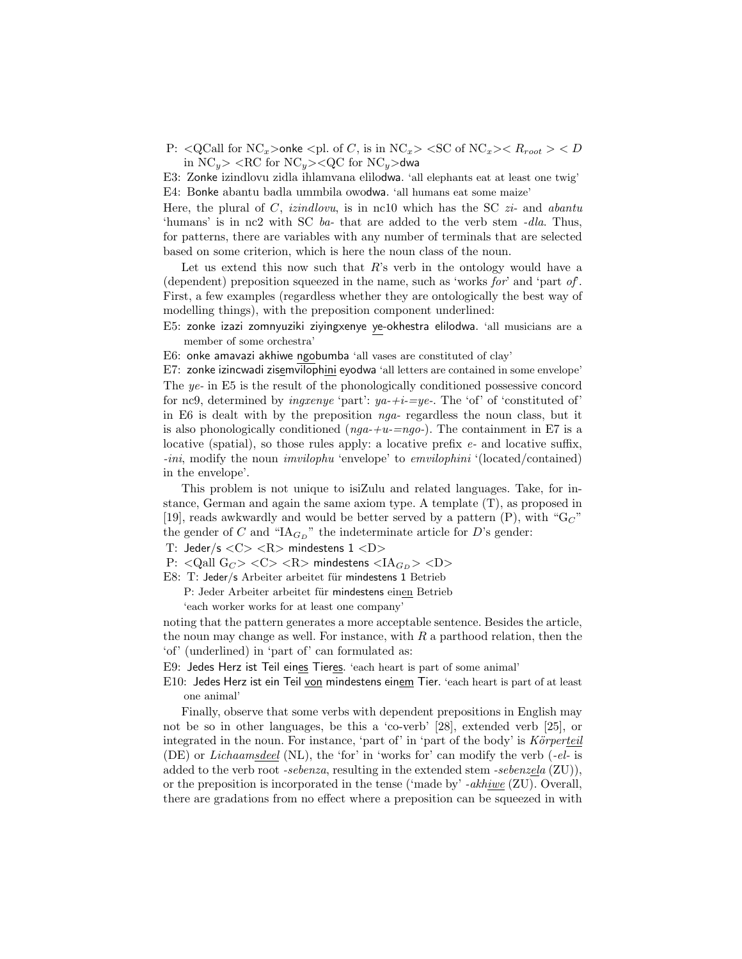P: <QCall for  $NC_x>$ onke <pl. of C, is in  $NC_x>$ <SC of  $NC_x>$  $R_{root}$  > < D in  $NC_y$  > <RC for  $NC_y$  ><QC for  $NC_y$  >dwa

E3: Zonke izindlovu zidla ihlamvana elilodwa. 'all elephants eat at least one twig' E4: Bonke abantu badla ummbila owodwa. 'all humans eat some maize'

Here, the plural of C, izindlovu, is in nc10 which has the SC  $zi$ - and abantu 'humans' is in nc2 with SC ba- that are added to the verb stem -dla. Thus, for patterns, there are variables with any number of terminals that are selected based on some criterion, which is here the noun class of the noun.

Let us extend this now such that  $R$ 's verb in the ontology would have a (dependent) preposition squeezed in the name, such as 'works for' and 'part of. First, a few examples (regardless whether they are ontologically the best way of modelling things), with the preposition component underlined:

E5: zonke izazi zomnyuziki ziyingxenye ye-okhestra elilodwa. 'all musicians are a member of some orchestra'

E6: onke amavazi akhiwe ngobumba 'all vases are constituted of clay'

E7: zonke izincwadi zisemvilophini eyodwa 'all letters are contained in some envelope' The ye- in E5 is the result of the phonologically conditioned possessive concord for nc9, determined by *ingxenye* 'part':  $ya - \dot{+i} = ye$ . The 'of' of 'constituted of' in E6 is dealt with by the preposition  $nqa$ - regardless the noun class, but it is also phonologically conditioned ( $nga+u=ngo$ ). The containment in E7 is a locative (spatial), so those rules apply: a locative prefix  $e$ - and locative suffix, -ini, modify the noun imvilophu 'envelope' to emvilophini '(located/contained) in the envelope'.

This problem is not unique to isiZulu and related languages. Take, for instance, German and again the same axiom type. A template (T), as proposed in [19], reads awkwardly and would be better served by a pattern  $(P)$ , with " $G_C$ " the gender of C and " $IA_{G_D}$ " the indeterminate article for D's gender:

- T: Jeder/s  $<\!\!C\!\!>$   $<\!\!R\!\!>$  mindestens  $1$   $<\!\!D\!\!>$
- P:  $\langle$ Qall G<sub>C</sub>>  $\langle$ C>  $\langle$ R> mindestens  $\langle$ IA<sub>G<sub>D</sub></sub>>  $\langle$ D>

E8: T: Jeder/s Arbeiter arbeitet für mindestens 1 Betrieb

P: Jeder Arbeiter arbeitet für mindestens einen Betrieb

'each worker works for at least one company'

noting that the pattern generates a more acceptable sentence. Besides the article, the noun may change as well. For instance, with  $R$  a parthood relation, then the 'of' (underlined) in 'part of' can formulated as:

E9: Jedes Herz ist Teil eines Tieres. 'each heart is part of some animal'

E10: Jedes Herz ist ein Teil von mindestens einem Tier. 'each heart is part of at least one animal'

Finally, observe that some verbs with dependent prepositions in English may not be so in other languages, be this a 'co-verb' [28], extended verb [25], or integrated in the noun. For instance, 'part of' in 'part of the body' is  $K\ddot{o}rpreteil$ (DE) or Lichaamsdeel (NL), the 'for' in 'works for' can modify the verb (-el- is added to the verb root -sebenza, resulting in the extended stem -sebenzela  $(ZU)$ ), or the preposition is incorporated in the tense ('made by'  $-akhive$  (ZU). Overall, there are gradations from no effect where a preposition can be squeezed in with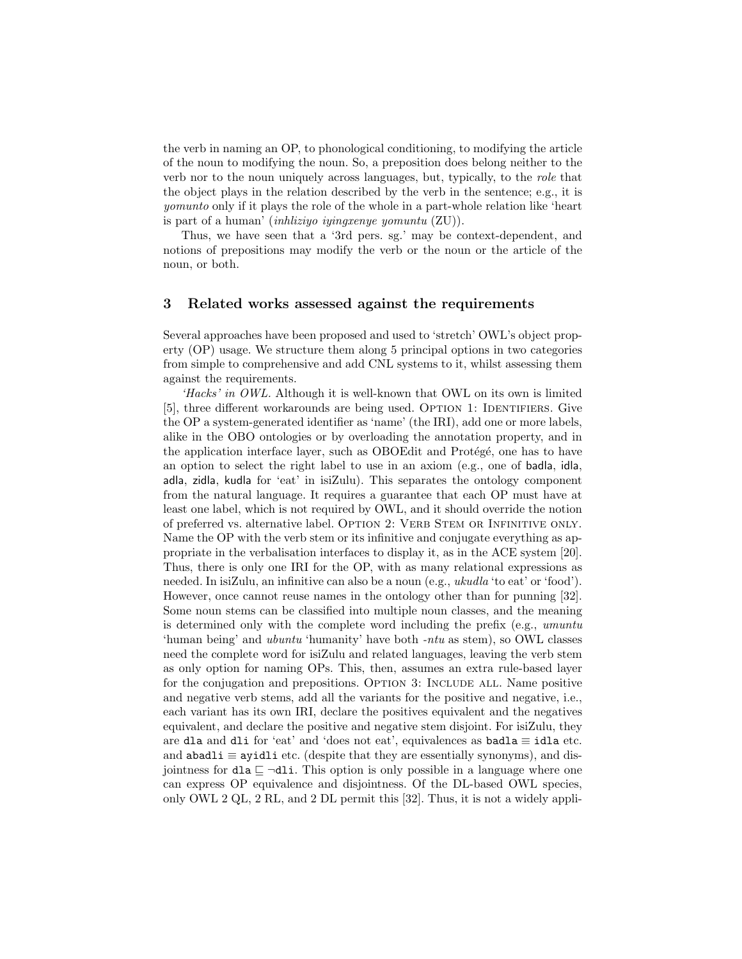the verb in naming an OP, to phonological conditioning, to modifying the article of the noun to modifying the noun. So, a preposition does belong neither to the verb nor to the noun uniquely across languages, but, typically, to the role that the object plays in the relation described by the verb in the sentence; e.g., it is yomunto only if it plays the role of the whole in a part-whole relation like 'heart is part of a human' (inhliziyo iyingxenye yomuntu (ZU)).

Thus, we have seen that a '3rd pers. sg.' may be context-dependent, and notions of prepositions may modify the verb or the noun or the article of the noun, or both.

# 3 Related works assessed against the requirements

Several approaches have been proposed and used to 'stretch' OWL's object property (OP) usage. We structure them along 5 principal options in two categories from simple to comprehensive and add CNL systems to it, whilst assessing them against the requirements.

'Hacks' in OWL. Although it is well-known that OWL on its own is limited [5], three different workarounds are being used. OPTION 1: IDENTIFIERS. Give the OP a system-generated identifier as 'name' (the IRI), add one or more labels, alike in the OBO ontologies or by overloading the annotation property, and in the application interface layer, such as OBOEdit and Protégé, one has to have an option to select the right label to use in an axiom (e.g., one of badla, idla, adla, zidla, kudla for 'eat' in isiZulu). This separates the ontology component from the natural language. It requires a guarantee that each OP must have at least one label, which is not required by OWL, and it should override the notion of preferred vs. alternative label. OPTION 2: VERB STEM OR INFINITIVE ONLY. Name the OP with the verb stem or its infinitive and conjugate everything as appropriate in the verbalisation interfaces to display it, as in the ACE system [20]. Thus, there is only one IRI for the OP, with as many relational expressions as needed. In isiZulu, an infinitive can also be a noun (e.g., ukudla 'to eat' or 'food'). However, once cannot reuse names in the ontology other than for punning [32]. Some noun stems can be classified into multiple noun classes, and the meaning is determined only with the complete word including the prefix (e.g., umuntu 'human being' and ubuntu 'humanity' have both -ntu as stem), so OWL classes need the complete word for isiZulu and related languages, leaving the verb stem as only option for naming OPs. This, then, assumes an extra rule-based layer for the conjugation and prepositions. OPTION 3: INCLUDE ALL. Name positive and negative verb stems, add all the variants for the positive and negative, i.e., each variant has its own IRI, declare the positives equivalent and the negatives equivalent, and declare the positive and negative stem disjoint. For isiZulu, they are dla and dli for 'eat' and 'does not eat', equivalences as badla  $\equiv$  idla etc. and abadli  $\equiv$  ayidli etc. (despite that they are essentially synonyms), and disjointness for dla  $\Box$   $\neg$ dli. This option is only possible in a language where one can express OP equivalence and disjointness. Of the DL-based OWL species, only OWL 2 QL, 2 RL, and 2 DL permit this [32]. Thus, it is not a widely appli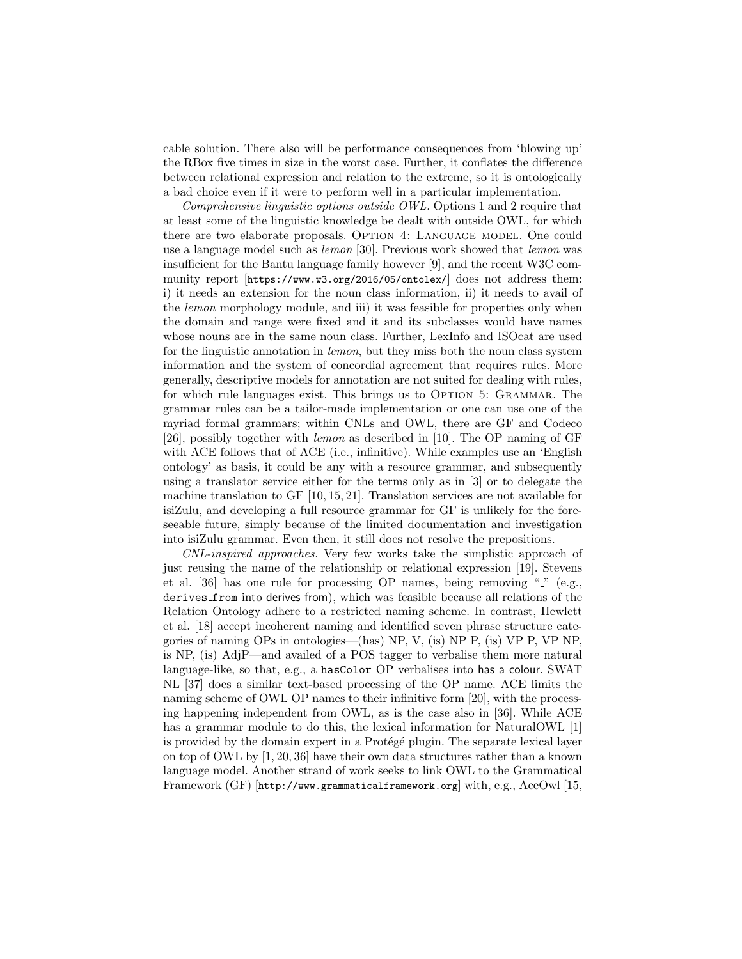cable solution. There also will be performance consequences from 'blowing up' the RBox five times in size in the worst case. Further, it conflates the difference between relational expression and relation to the extreme, so it is ontologically a bad choice even if it were to perform well in a particular implementation.

Comprehensive linguistic options outside OWL. Options 1 and 2 require that at least some of the linguistic knowledge be dealt with outside OWL, for which there are two elaborate proposals. OPTION 4: LANGUAGE MODEL. One could use a language model such as lemon [30]. Previous work showed that lemon was insufficient for the Bantu language family however [9], and the recent W3C community report [https://www.w3.org/2016/05/ontolex/] does not address them: i) it needs an extension for the noun class information, ii) it needs to avail of the lemon morphology module, and iii) it was feasible for properties only when the domain and range were fixed and it and its subclasses would have names whose nouns are in the same noun class. Further, LexInfo and ISOcat are used for the linguistic annotation in *lemon*, but they miss both the noun class system information and the system of concordial agreement that requires rules. More generally, descriptive models for annotation are not suited for dealing with rules, for which rule languages exist. This brings us to OPTION 5: GRAMMAR. The grammar rules can be a tailor-made implementation or one can use one of the myriad formal grammars; within CNLs and OWL, there are GF and Codeco [26], possibly together with lemon as described in [10]. The OP naming of GF with ACE follows that of ACE (i.e., infinitive). While examples use an 'English ontology' as basis, it could be any with a resource grammar, and subsequently using a translator service either for the terms only as in [3] or to delegate the machine translation to GF [10, 15, 21]. Translation services are not available for isiZulu, and developing a full resource grammar for GF is unlikely for the foreseeable future, simply because of the limited documentation and investigation into isiZulu grammar. Even then, it still does not resolve the prepositions.

CNL-inspired approaches. Very few works take the simplistic approach of just reusing the name of the relationship or relational expression [19]. Stevens et al. [36] has one rule for processing OP names, being removing " $\cdot$ " (e.g., derives from into derives from), which was feasible because all relations of the Relation Ontology adhere to a restricted naming scheme. In contrast, Hewlett et al. [18] accept incoherent naming and identified seven phrase structure categories of naming OPs in ontologies—(has) NP, V, (is) NP P, (is) VP P, VP NP, is NP, (is) AdjP—and availed of a POS tagger to verbalise them more natural language-like, so that, e.g., a hasColor OP verbalises into has a colour. SWAT NL [37] does a similar text-based processing of the OP name. ACE limits the naming scheme of OWL OP names to their infinitive form [20], with the processing happening independent from OWL, as is the case also in [36]. While ACE has a grammar module to do this, the lexical information for NaturalOWL [1] is provided by the domain expert in a Protégé plugin. The separate lexical layer on top of OWL by [1, 20, 36] have their own data structures rather than a known language model. Another strand of work seeks to link OWL to the Grammatical Framework (GF) [http://www.grammaticalframework.org] with, e.g., AceOwl [15,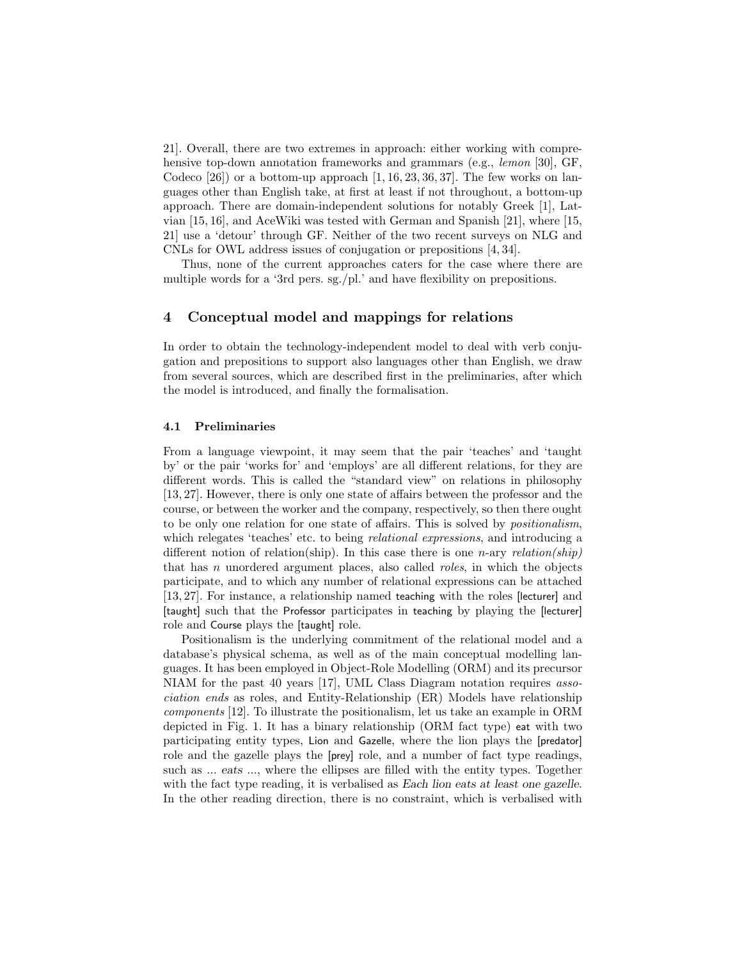21]. Overall, there are two extremes in approach: either working with comprehensive top-down annotation frameworks and grammars (e.g., *lemon* [30], GF, Codeco  $[26]$  or a bottom-up approach  $[1, 16, 23, 36, 37]$ . The few works on languages other than English take, at first at least if not throughout, a bottom-up approach. There are domain-independent solutions for notably Greek [1], Latvian [15, 16], and AceWiki was tested with German and Spanish [21], where [15, 21] use a 'detour' through GF. Neither of the two recent surveys on NLG and CNLs for OWL address issues of conjugation or prepositions [4, 34].

Thus, none of the current approaches caters for the case where there are multiple words for a '3rd pers. sg./pl.' and have flexibility on prepositions.

## 4 Conceptual model and mappings for relations

In order to obtain the technology-independent model to deal with verb conjugation and prepositions to support also languages other than English, we draw from several sources, which are described first in the preliminaries, after which the model is introduced, and finally the formalisation.

### 4.1 Preliminaries

From a language viewpoint, it may seem that the pair 'teaches' and 'taught by' or the pair 'works for' and 'employs' are all different relations, for they are different words. This is called the "standard view" on relations in philosophy [13, 27]. However, there is only one state of affairs between the professor and the course, or between the worker and the company, respectively, so then there ought to be only one relation for one state of affairs. This is solved by positionalism, which relegates 'teaches' etc. to being *relational expressions*, and introducing a different notion of relation(ship). In this case there is one *n*-ary *relation(ship)* that has n unordered argument places, also called roles, in which the objects participate, and to which any number of relational expressions can be attached [13, 27]. For instance, a relationship named teaching with the roles [lecturer] and [taught] such that the Professor participates in teaching by playing the [lecturer] role and Course plays the [taught] role.

Positionalism is the underlying commitment of the relational model and a database's physical schema, as well as of the main conceptual modelling languages. It has been employed in Object-Role Modelling (ORM) and its precursor NIAM for the past 40 years [17], UML Class Diagram notation requires association ends as roles, and Entity-Relationship (ER) Models have relationship components [12]. To illustrate the positionalism, let us take an example in ORM depicted in Fig. 1. It has a binary relationship (ORM fact type) eat with two participating entity types, Lion and Gazelle, where the lion plays the [predator] role and the gazelle plays the [prey] role, and a number of fact type readings, such as ... eats ..., where the ellipses are filled with the entity types. Together with the fact type reading, it is verbalised as Each lion eats at least one gazelle. In the other reading direction, there is no constraint, which is verbalised with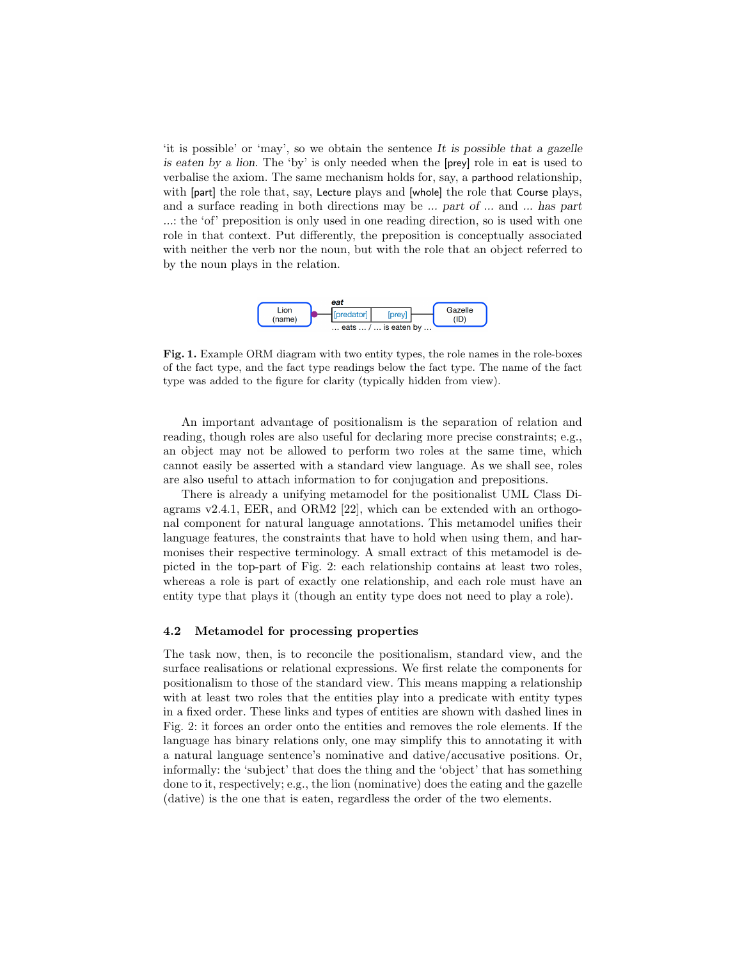'it is possible' or 'may', so we obtain the sentence It is possible that a gazelle is eaten by a lion. The 'by' is only needed when the [prey] role in eat is used to verbalise the axiom. The same mechanism holds for, say, a parthood relationship, with [part] the role that, say, Lecture plays and [whole] the role that Course plays, and a surface reading in both directions may be ... part of ... and ... has part ...: the 'of' preposition is only used in one reading direction, so is used with one role in that context. Put differently, the preposition is conceptually associated with neither the verb nor the noun, but with the role that an object referred to by the noun plays in the relation.



Fig. 1. Example ORM diagram with two entity types, the role names in the role-boxes of the fact type, and the fact type readings below the fact type. The name of the fact type was added to the figure for clarity (typically hidden from view).

An important advantage of positionalism is the separation of relation and reading, though roles are also useful for declaring more precise constraints; e.g., an object may not be allowed to perform two roles at the same time, which cannot easily be asserted with a standard view language. As we shall see, roles are also useful to attach information to for conjugation and prepositions.

There is already a unifying metamodel for the positionalist UML Class Diagrams v2.4.1, EER, and ORM2 [22], which can be extended with an orthogonal component for natural language annotations. This metamodel unifies their language features, the constraints that have to hold when using them, and harmonises their respective terminology. A small extract of this metamodel is depicted in the top-part of Fig. 2: each relationship contains at least two roles, whereas a role is part of exactly one relationship, and each role must have an entity type that plays it (though an entity type does not need to play a role).

#### 4.2 Metamodel for processing properties

The task now, then, is to reconcile the positionalism, standard view, and the surface realisations or relational expressions. We first relate the components for positionalism to those of the standard view. This means mapping a relationship with at least two roles that the entities play into a predicate with entity types in a fixed order. These links and types of entities are shown with dashed lines in Fig. 2: it forces an order onto the entities and removes the role elements. If the language has binary relations only, one may simplify this to annotating it with a natural language sentence's nominative and dative/accusative positions. Or, informally: the 'subject' that does the thing and the 'object' that has something done to it, respectively; e.g., the lion (nominative) does the eating and the gazelle (dative) is the one that is eaten, regardless the order of the two elements.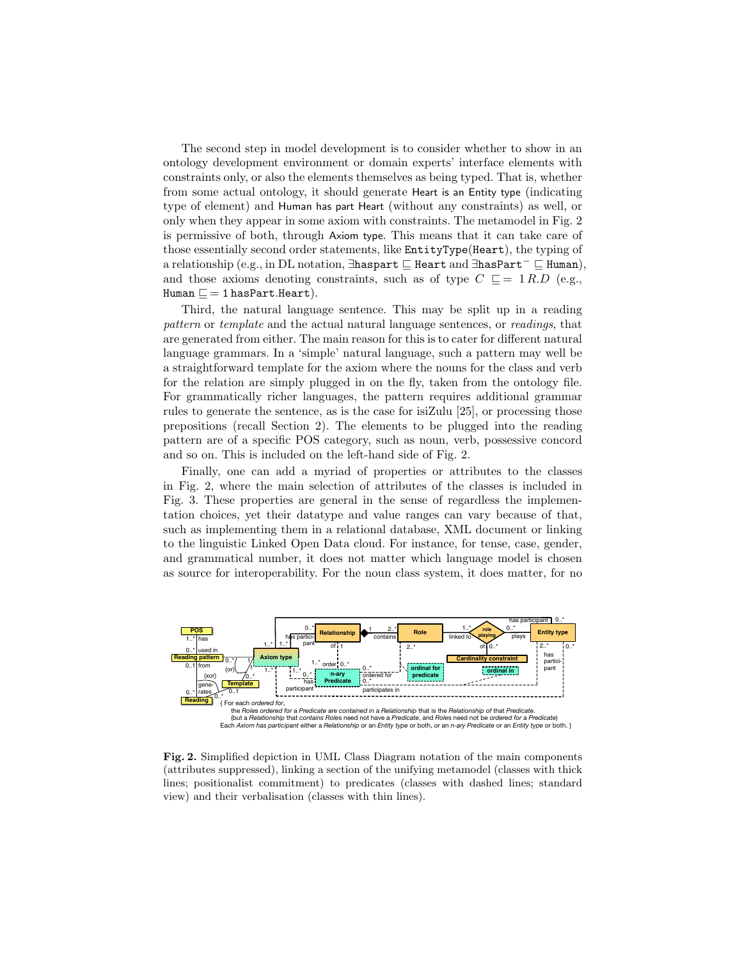The second step in model development is to consider whether to show in an ontology development environment or domain experts' interface elements with constraints only, or also the elements themselves as being typed. That is, whether from some actual ontology, it should generate Heart is an Entity type (indicating type of element) and Human has part Heart (without any constraints) as well, or only when they appear in some axiom with constraints. The metamodel in Fig. 2 is permissive of both, through Axiom type. This means that it can take care of those essentially second order statements, like EntityType(Heart), the typing of a relationship (e.g., in DL notation, ∃haspart  $\subseteq$  Heart and ∃hasPart<sup>-</sup>  $\subseteq$  Human), and those axioms denoting constraints, such as of type  $C \subseteq = \{1, 2, 1, 2, \ldots\}$ Human  $\Box$  = 1 has Part. Heart).

Third, the natural language sentence. This may be split up in a reading pattern or template and the actual natural language sentences, or readings, that are generated from either. The main reason for this is to cater for different natural language grammars. In a 'simple' natural language, such a pattern may well be a straightforward template for the axiom where the nouns for the class and verb for the relation are simply plugged in on the fly, taken from the ontology file. For grammatically richer languages, the pattern requires additional grammar rules to generate the sentence, as is the case for isiZulu [25], or processing those prepositions (recall Section 2). The elements to be plugged into the reading pattern are of a specific POS category, such as noun, verb, possessive concord and so on. This is included on the left-hand side of Fig. 2.

Finally, one can add a myriad of properties or attributes to the classes in Fig. 2, where the main selection of attributes of the classes is included in Fig. 3. These properties are general in the sense of regardless the implementation choices, yet their datatype and value ranges can vary because of that, such as implementing them in a relational database, XML document or linking to the linguistic Linked Open Data cloud. For instance, for tense, case, gender, and grammatical number, it does not matter which language model is chosen as source for interoperability. For the noun class system, it does matter, for no



Fig. 2. Simplified depiction in UML Class Diagram notation of the main components (attributes suppressed), linking a section of the unifying metamodel (classes with thick lines; positionalist commitment) to predicates (classes with dashed lines; standard view) and their verbalisation (classes with thin lines).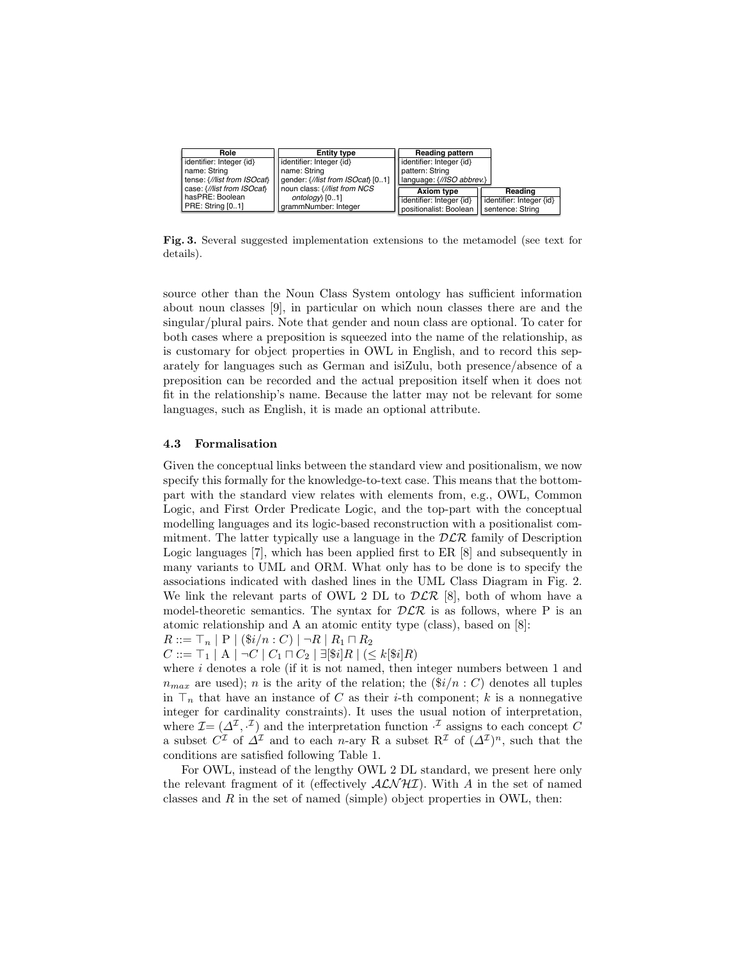| Role                        | <b>Entity type</b>                | <b>Reading pattern</b>    |                          |
|-----------------------------|-----------------------------------|---------------------------|--------------------------|
| identifier: Integer {id}    | dentifier: Integer {id}           | identifier: Integer {id}  |                          |
| name: String                | name: String                      | pattern: String           |                          |
| tense: {//list from ISOcaf} | gender: {//list from ISOcaf} [01] | language: {//ISO abbrev.} |                          |
| case: {//list from ISOcaf}  | noun class: {//list from NCS      | <b>Axiom type</b>         | Reading                  |
| hasPRE: Boolean             | ontology $[01]$                   | identifier: Integer {id}  | identifier: Integer {id} |
| PRE: String [01]            | grammNumber: Integer              | positionalist: Boolean    | sentence: String         |

Fig. 3. Several suggested implementation extensions to the metamodel (see text for details).

source other than the Noun Class System ontology has sufficient information about noun classes [9], in particular on which noun classes there are and the singular/plural pairs. Note that gender and noun class are optional. To cater for both cases where a preposition is squeezed into the name of the relationship, as is customary for object properties in OWL in English, and to record this separately for languages such as German and isiZulu, both presence/absence of a preposition can be recorded and the actual preposition itself when it does not fit in the relationship's name. Because the latter may not be relevant for some languages, such as English, it is made an optional attribute.

#### 4.3 Formalisation

Given the conceptual links between the standard view and positionalism, we now specify this formally for the knowledge-to-text case. This means that the bottompart with the standard view relates with elements from, e.g., OWL, Common Logic, and First Order Predicate Logic, and the top-part with the conceptual modelling languages and its logic-based reconstruction with a positionalist commitment. The latter typically use a language in the  $DLR$  family of Description Logic languages [7], which has been applied first to ER [8] and subsequently in many variants to UML and ORM. What only has to be done is to specify the associations indicated with dashed lines in the UML Class Diagram in Fig. 2. We link the relevant parts of OWL 2 DL to  $\mathcal{DLR}$  [8], both of whom have a model-theoretic semantics. The syntax for  $D\mathcal{LR}$  is as follows, where P is an atomic relationship and A an atomic entity type (class), based on [8]:

 $R ::= \top_n | P | (\$i/n : C) | \neg R | R_1 \sqcap R_2$ 

 $C ::= \top_1 | A | \neg C | C_1 \sqcap C_2 | \exists [\$i]R | (\leq k[\$i]R)$ 

where  $i$  denotes a role (if it is not named, then integer numbers between 1 and  $n_{max}$  are used); n is the arity of the relation; the  $(\frac{6}{i}{n} : C)$  denotes all tuples in  $\mathsf{T}_n$  that have an instance of C as their *i*-th component; k is a nonnegative integer for cardinality constraints). It uses the usual notion of interpretation, where  $\mathcal{I} = (\Delta^{\mathcal{I}}, \cdot^{\mathcal{I}})$  and the interpretation function  $\cdot^{\mathcal{I}}$  assigns to each concept C a subset  $C^{\mathcal{I}}$  of  $\Delta^{\mathcal{I}}$  and to each *n*-ary R a subset  $R^{\mathcal{I}}$  of  $(\Delta^{\mathcal{I}})^n$ , such that the conditions are satisfied following Table 1.

For OWL, instead of the lengthy OWL 2 DL standard, we present here only the relevant fragment of it (effectively  $\mathcal{ALNHL}$ ). With A in the set of named classes and  $R$  in the set of named (simple) object properties in OWL, then: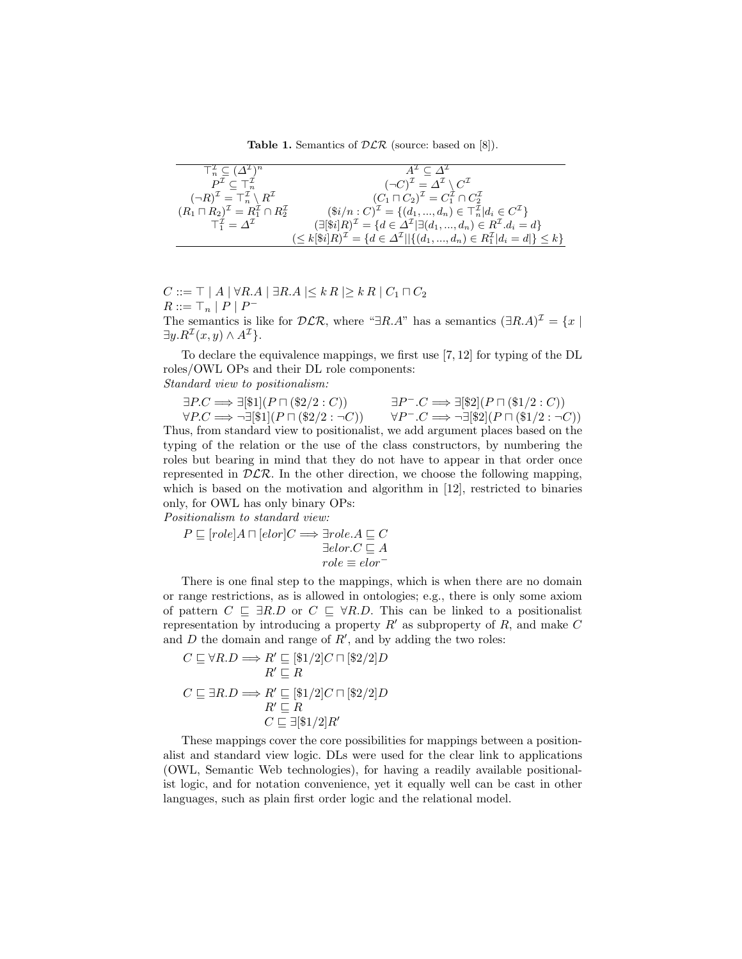**Table 1.** Semantics of  $DLR$  (source: based on [8]).

| $\top_n^{\mathcal{I}} \subseteq (\Delta^{\mathcal{I}})^n$                   | $A^{\mathcal{I}}\subseteq \varDelta^{\mathcal{I}}$                                                                          |
|-----------------------------------------------------------------------------|-----------------------------------------------------------------------------------------------------------------------------|
| $P^{\mathcal{I}} \subset \top_n^{\mathcal{I}}$                              | $(\neg C)^{\mathcal{I}} = \varDelta^{\mathcal{I}} \setminus C^{\mathcal{I}}$                                                |
| $(\neg R)^{\mathcal{I}} = \top_n^{\mathcal{I}} \setminus R^{\mathcal{I}}$   | $(C_1 \sqcap C_2)^{\mathcal{I}} = C_1^{\mathcal{I}} \cap C_2^{\mathcal{I}}$                                                 |
| $(R_1 \sqcap R_2)^{\mathcal{I}} = R_1^{\mathcal{I}} \cap R_2^{\mathcal{I}}$ | $(\$i/n : C)^{\mathcal{I}} = \{(d_1, , d_n) \in \top_n^{\mathcal{I}}   d_i \in C^{\mathcal{I}}\}\$                          |
| $\top_1^{\mathcal{I}} = \Delta^{\mathcal{I}}$                               | $(\exists [\$i]R)^{\mathcal{I}} = \{d \in \Delta^{\mathcal{I}}   \exists (d_1, , d_n) \in R^{\mathcal{I}}. d_i = d\}$       |
|                                                                             | $(\leq k[\$i]R)^{\mathcal{I}} = \{d \in \Delta^{\mathcal{I}}    \{(d_1, , d_n) \in R_1^{\mathcal{I}}   d_i = d \} \leq k\}$ |

 $C ::= \top | A | \forall R.A | \exists R.A | \leq k R | \geq k R | C_1 \sqcap C_2$  $R ::= \top_n | P | P^-$ The semantics is like for  $D\mathcal{LR}$ , where " $\exists R.A$ " has a semantics  $(\exists R.A)^{\mathcal{I}} = \{x \mid$  $\exists y. R^{\mathcal{I}}(x, y) \wedge A^{\mathcal{I}}$ .

To declare the equivalence mappings, we first use [7, 12] for typing of the DL roles/OWL OPs and their DL role components: Standard view to positionalism:

 $\exists P.C \Longrightarrow \exists [\$1](P \sqcap (\$2/2:C)) \qquad \exists P^- . C \Longrightarrow \exists [\$2](P \sqcap (\$1/2:C))$  $\forall P.C \Longrightarrow \neg \exists [\$1](P \sqcap (\$2/2:\neg C)) \qquad \forall P \neg C \Longrightarrow \neg \exists [\$2](P \sqcap (\$1/2:\neg C))$ 

Thus, from standard view to positionalist, we add argument places based on the typing of the relation or the use of the class constructors, by numbering the roles but bearing in mind that they do not have to appear in that order once represented in  $D\mathcal{L}\mathcal{R}$ . In the other direction, we choose the following mapping, which is based on the motivation and algorithm in [12], restricted to binaries only, for OWL has only binary OPs:

Positionalism to standard view:

$$
P \sqsubseteq [role]A \sqcap [elor]C \Longrightarrow \exists role. A \sqsubseteq C
$$
  

$$
\exists elor. C \sqsubseteq A
$$
  

$$
role \equiv elor^-
$$

There is one final step to the mappings, which is when there are no domain or range restrictions, as is allowed in ontologies; e.g., there is only some axiom of pattern  $C \subseteq \exists R.D$  or  $C \subseteq \forall R.D$ . This can be linked to a positionalist representation by introducing a property  $R'$  as subproperty of  $R$ , and make  $C$ and  $D$  the domain and range of  $R'$ , and by adding the two roles:

$$
C \sqsubseteq \forall R.D \Longrightarrow R' \sqsubseteq [\$1/2]C \sqcap [\$2/2]D
$$

$$
R' \sqsubseteq R
$$

$$
C \sqsubseteq \exists R.D \Longrightarrow R' \sqsubseteq [\$1/2]C \sqcap [\$2/2]D
$$

$$
R' \sqsubseteq R
$$

$$
C \sqsubseteq \exists [\$1/2]R'
$$

These mappings cover the core possibilities for mappings between a positionalist and standard view logic. DLs were used for the clear link to applications (OWL, Semantic Web technologies), for having a readily available positionalist logic, and for notation convenience, yet it equally well can be cast in other languages, such as plain first order logic and the relational model.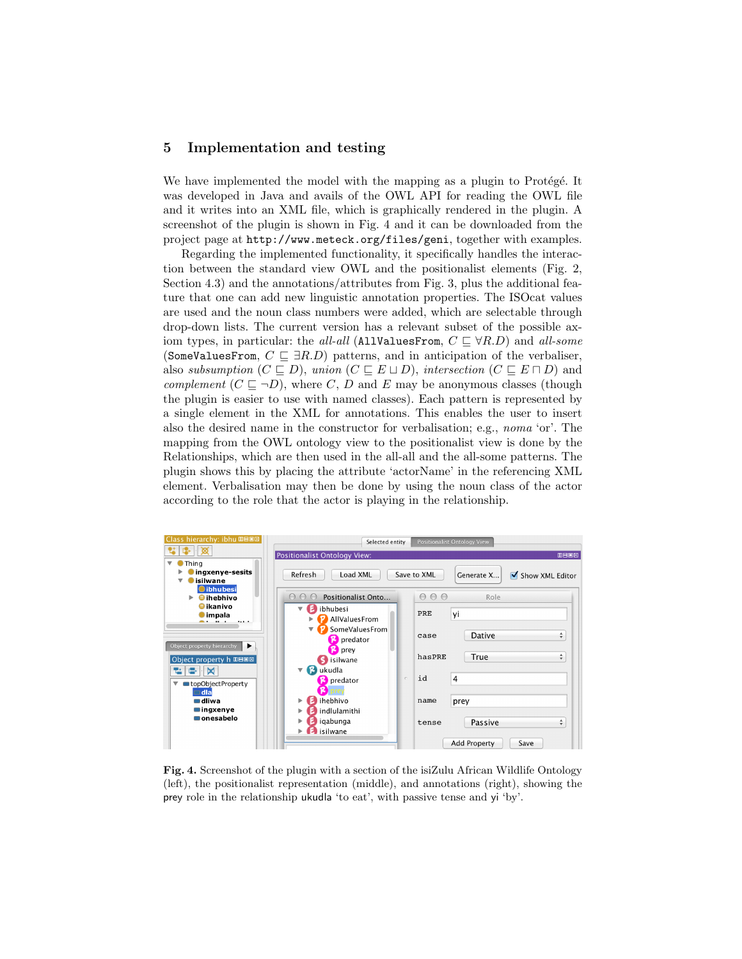## 5 Implementation and testing

We have implemented the model with the mapping as a plugin to Protégé. It was developed in Java and avails of the OWL API for reading the OWL file and it writes into an XML file, which is graphically rendered in the plugin. A screenshot of the plugin is shown in Fig. 4 and it can be downloaded from the project page at http://www.meteck.org/files/geni, together with examples.

Regarding the implemented functionality, it specifically handles the interaction between the standard view OWL and the positionalist elements (Fig. 2, Section 4.3) and the annotations/attributes from Fig. 3, plus the additional feature that one can add new linguistic annotation properties. The ISOcat values are used and the noun class numbers were added, which are selectable through drop-down lists. The current version has a relevant subset of the possible axiom types, in particular: the all-all (AllValuesFrom,  $C \subseteq \forall R.D$ ) and all-some (SomeValuesFrom,  $C \subseteq \exists R.D$ ) patterns, and in anticipation of the verbaliser, also subsumption  $(C \sqsubseteq D)$ , union  $(C \sqsubseteq E \sqcup D)$ , intersection  $(C \sqsubseteq E \sqcap D)$  and complement  $(C \sqsubseteq \neg D)$ , where C, D and E may be anonymous classes (though the plugin is easier to use with named classes). Each pattern is represented by a single element in the XML for annotations. This enables the user to insert also the desired name in the constructor for verbalisation; e.g., noma 'or'. The mapping from the OWL ontology view to the positionalist view is done by the Relationships, which are then used in the all-all and the all-some patterns. The plugin shows this by placing the attribute 'actorName' in the referencing XML element. Verbalisation may then be done by using the noun class of the actor according to the role that the actor is playing in the relationship.



Fig. 4. Screenshot of the plugin with a section of the isiZulu African Wildlife Ontology (left), the positionalist representation (middle), and annotations (right), showing the prey role in the relationship ukudla 'to eat', with passive tense and yi 'by'.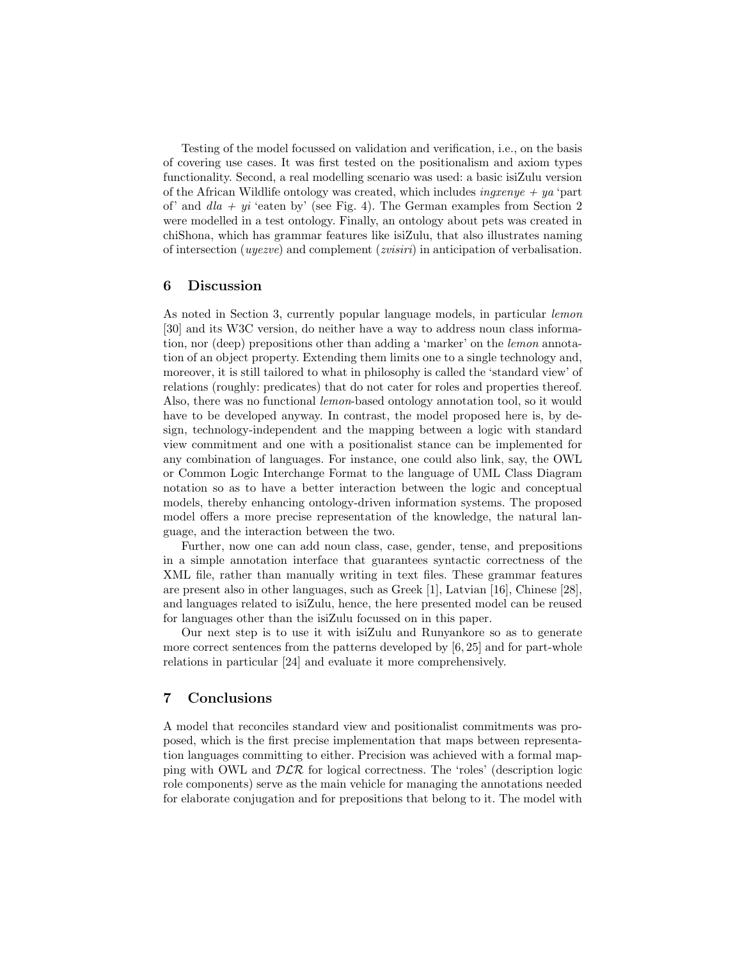Testing of the model focussed on validation and verification, i.e., on the basis of covering use cases. It was first tested on the positionalism and axiom types functionality. Second, a real modelling scenario was used: a basic isiZulu version of the African Wildlife ontology was created, which includes *ingxenye*  $+$  ya 'part of' and  $dla + yi$  'eaten by' (see Fig. 4). The German examples from Section 2 were modelled in a test ontology. Finally, an ontology about pets was created in chiShona, which has grammar features like isiZulu, that also illustrates naming of intersection (uyezve) and complement (zvisiri) in anticipation of verbalisation.

## 6 Discussion

As noted in Section 3, currently popular language models, in particular lemon [30] and its W3C version, do neither have a way to address noun class information, nor (deep) prepositions other than adding a 'marker' on the lemon annotation of an object property. Extending them limits one to a single technology and, moreover, it is still tailored to what in philosophy is called the 'standard view' of relations (roughly: predicates) that do not cater for roles and properties thereof. Also, there was no functional lemon-based ontology annotation tool, so it would have to be developed anyway. In contrast, the model proposed here is, by design, technology-independent and the mapping between a logic with standard view commitment and one with a positionalist stance can be implemented for any combination of languages. For instance, one could also link, say, the OWL or Common Logic Interchange Format to the language of UML Class Diagram notation so as to have a better interaction between the logic and conceptual models, thereby enhancing ontology-driven information systems. The proposed model offers a more precise representation of the knowledge, the natural language, and the interaction between the two.

Further, now one can add noun class, case, gender, tense, and prepositions in a simple annotation interface that guarantees syntactic correctness of the XML file, rather than manually writing in text files. These grammar features are present also in other languages, such as Greek [1], Latvian [16], Chinese [28], and languages related to isiZulu, hence, the here presented model can be reused for languages other than the isiZulu focussed on in this paper.

Our next step is to use it with isiZulu and Runyankore so as to generate more correct sentences from the patterns developed by [6, 25] and for part-whole relations in particular [24] and evaluate it more comprehensively.

# 7 Conclusions

A model that reconciles standard view and positionalist commitments was proposed, which is the first precise implementation that maps between representation languages committing to either. Precision was achieved with a formal mapping with OWL and  $\mathcal{DLR}$  for logical correctness. The 'roles' (description logic role components) serve as the main vehicle for managing the annotations needed for elaborate conjugation and for prepositions that belong to it. The model with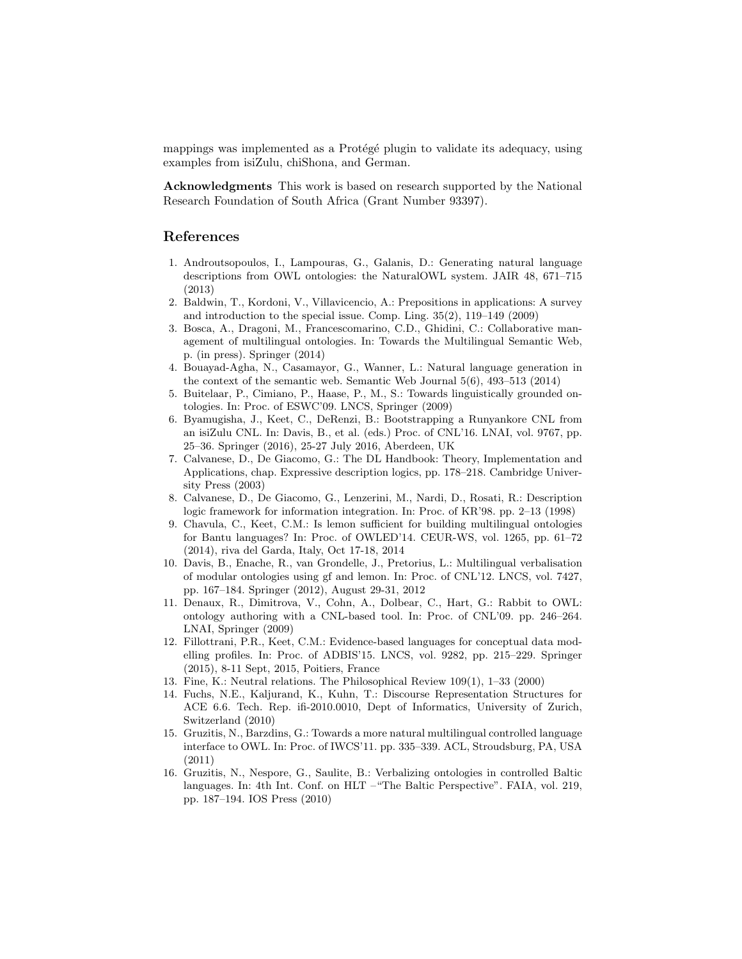mappings was implemented as a Protégé plugin to validate its adequacy, using examples from isiZulu, chiShona, and German.

Acknowledgments This work is based on research supported by the National Research Foundation of South Africa (Grant Number 93397).

## References

- 1. Androutsopoulos, I., Lampouras, G., Galanis, D.: Generating natural language descriptions from OWL ontologies: the NaturalOWL system. JAIR 48, 671–715 (2013)
- 2. Baldwin, T., Kordoni, V., Villavicencio, A.: Prepositions in applications: A survey and introduction to the special issue. Comp. Ling. 35(2), 119–149 (2009)
- 3. Bosca, A., Dragoni, M., Francescomarino, C.D., Ghidini, C.: Collaborative management of multilingual ontologies. In: Towards the Multilingual Semantic Web, p. (in press). Springer (2014)
- 4. Bouayad-Agha, N., Casamayor, G., Wanner, L.: Natural language generation in the context of the semantic web. Semantic Web Journal 5(6), 493–513 (2014)
- 5. Buitelaar, P., Cimiano, P., Haase, P., M., S.: Towards linguistically grounded ontologies. In: Proc. of ESWC'09. LNCS, Springer (2009)
- 6. Byamugisha, J., Keet, C., DeRenzi, B.: Bootstrapping a Runyankore CNL from an isiZulu CNL. In: Davis, B., et al. (eds.) Proc. of CNL'16. LNAI, vol. 9767, pp. 25–36. Springer (2016), 25-27 July 2016, Aberdeen, UK
- 7. Calvanese, D., De Giacomo, G.: The DL Handbook: Theory, Implementation and Applications, chap. Expressive description logics, pp. 178–218. Cambridge University Press (2003)
- 8. Calvanese, D., De Giacomo, G., Lenzerini, M., Nardi, D., Rosati, R.: Description logic framework for information integration. In: Proc. of KR'98. pp. 2–13 (1998)
- 9. Chavula, C., Keet, C.M.: Is lemon sufficient for building multilingual ontologies for Bantu languages? In: Proc. of OWLED'14. CEUR-WS, vol. 1265, pp. 61–72 (2014), riva del Garda, Italy, Oct 17-18, 2014
- 10. Davis, B., Enache, R., van Grondelle, J., Pretorius, L.: Multilingual verbalisation of modular ontologies using gf and lemon. In: Proc. of CNL'12. LNCS, vol. 7427, pp. 167–184. Springer (2012), August 29-31, 2012
- 11. Denaux, R., Dimitrova, V., Cohn, A., Dolbear, C., Hart, G.: Rabbit to OWL: ontology authoring with a CNL-based tool. In: Proc. of CNL'09. pp. 246–264. LNAI, Springer (2009)
- 12. Fillottrani, P.R., Keet, C.M.: Evidence-based languages for conceptual data modelling profiles. In: Proc. of ADBIS'15. LNCS, vol. 9282, pp. 215–229. Springer (2015), 8-11 Sept, 2015, Poitiers, France
- 13. Fine, K.: Neutral relations. The Philosophical Review 109(1), 1–33 (2000)
- 14. Fuchs, N.E., Kaljurand, K., Kuhn, T.: Discourse Representation Structures for ACE 6.6. Tech. Rep. ifi-2010.0010, Dept of Informatics, University of Zurich, Switzerland (2010)
- 15. Gruzitis, N., Barzdins, G.: Towards a more natural multilingual controlled language interface to OWL. In: Proc. of IWCS'11. pp. 335–339. ACL, Stroudsburg, PA, USA (2011)
- 16. Gruzitis, N., Nespore, G., Saulite, B.: Verbalizing ontologies in controlled Baltic languages. In: 4th Int. Conf. on HLT –"The Baltic Perspective". FAIA, vol. 219, pp. 187–194. IOS Press (2010)